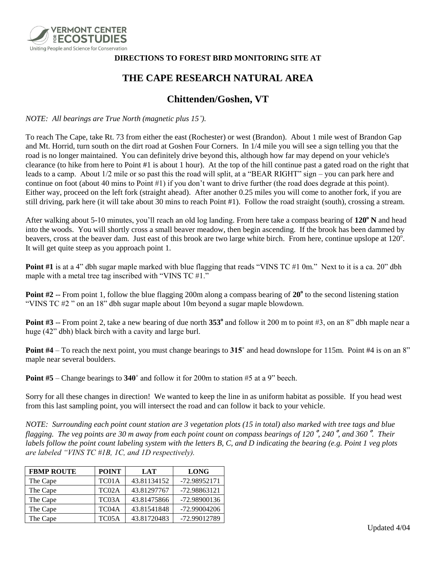

## **DIRECTIONS TO FOREST BIRD MONITORING SITE AT**

## **THE CAPE RESEARCH NATURAL AREA**

## **Chittenden/Goshen, VT**

*NOTE: All bearings are True North (magnetic plus 15˚).*

To reach The Cape, take Rt. 73 from either the east (Rochester) or west (Brandon). About 1 mile west of Brandon Gap and Mt. Horrid, turn south on the dirt road at Goshen Four Corners. In 1/4 mile you will see a sign telling you that the road is no longer maintained. You can definitely drive beyond this, although how far may depend on your vehicle's clearance (to hike from here to Point #1 is about 1 hour). At the top of the hill continue past a gated road on the right that leads to a camp. About 1/2 mile or so past this the road will split, at a "BEAR RIGHT" sign – you can park here and continue on foot (about 40 mins to Point #1) if you don't want to drive further (the road does degrade at this point). Either way, proceed on the left fork (straight ahead). After another 0.25 miles you will come to another fork, if you are still driving, park here (it will take about 30 mins to reach Point #1). Follow the road straight (south), crossing a stream.

After walking about 5-10 minutes, you'll reach an old log landing. From here take a compass bearing of **120<sup>o</sup> N** and head into the woods. You will shortly cross a small beaver meadow, then begin ascending. If the brook has been dammed by beavers, cross at the beaver dam. Just east of this brook are two large white birch. From here, continue upslope at  $120^\circ$ . It will get quite steep as you approach point 1.

**Point #1** is at a 4" dbh sugar maple marked with blue flagging that reads "VINS TC #1 0m." Next to it is a ca. 20" dbh maple with a metal tree tag inscribed with "VINS TC #1."

Point #2 -- From point 1, follow the blue flagging 200m along a compass bearing of 20<sup>°</sup> to the second listening station "VINS TC #2 " on an 18" dbh sugar maple about 10m beyond a sugar maple blowdown.

**Point #3** -- From point 2, take a new bearing of due north 353<sup>°</sup> and follow it 200 m to point #3, on an 8" dbh maple near a huge (42" dbh) black birch with a cavity and large burl.

**Point #4** – To reach the next point, you must change bearings to **315˚** and head downslope for 115m. Point #4 is on an 8" maple near several boulders.

**Point #5** – Change bearings to **340˚** and follow it for 200m to station #5 at a 9" beech.

Sorry for all these changes in direction! We wanted to keep the line in as uniform habitat as possible. If you head west from this last sampling point, you will intersect the road and can follow it back to your vehicle.

*NOTE: Surrounding each point count station are 3 vegetation plots (15 in total) also marked with tree tags and blue flagging. The veg points are 30 m away from each point count on compass bearings of 120*˚*, 240*˚*, and 360*˚*. Their labels follow the point count labeling system with the letters B, C, and D indicating the bearing (e.g. Point 1 veg plots are labeled "VINS TC #1B, 1C, and 1D respectively).*

| <b>FBMP ROUTE</b> | <b>POINT</b>       | <b>LAT</b>  | <b>LONG</b>  |
|-------------------|--------------------|-------------|--------------|
| The Cape          | TC01A              | 43.81134152 | -72.98952171 |
| The Cape          | TC <sub>02</sub> A | 43.81297767 | -72.98863121 |
| The Cape          | TC <sub>03</sub> A | 43.81475866 | -72.98900136 |
| The Cape          | TC04A              | 43.81541848 | -72.99004206 |
| The Cape          | TC05A              | 43.81720483 | -72.99012789 |